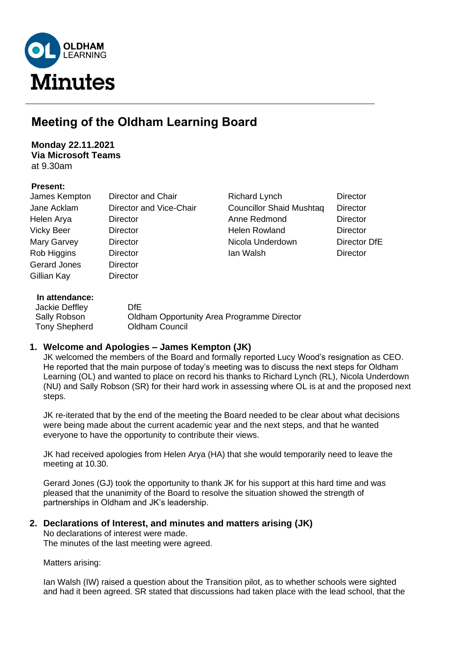

# **Meeting of the Oldham Learning Board**

**Monday 22.11.2021 Via Microsoft Teams** at 9.30am

## **Present:**

| James Kempton       | Director and Chair      | <b>Richard Lynch</b>            | <b>Director</b> |
|---------------------|-------------------------|---------------------------------|-----------------|
| Jane Acklam         | Director and Vice-Chair | <b>Councillor Shaid Mushtaq</b> | <b>Director</b> |
| Helen Arya          | Director                | Anne Redmond                    | <b>Director</b> |
| <b>Vicky Beer</b>   | Director                | Helen Rowland                   | Director        |
| Mary Garvey         | Director                | Nicola Underdown                | Director DfE    |
| Rob Higgins         | <b>Director</b>         | lan Walsh                       | <b>Director</b> |
| <b>Gerard Jones</b> | <b>Director</b>         |                                 |                 |
| Gillian Kay         | Director                |                                 |                 |
| In attendance:      |                         |                                 |                 |

| Jackie Deffley | DfE.                                       |
|----------------|--------------------------------------------|
| Sally Robson   | Oldham Opportunity Area Programme Director |
| Tony Shepherd  | Oldham Council                             |
|                |                                            |

# **1. Welcome and Apologies – James Kempton (JK)**

JK welcomed the members of the Board and formally reported Lucy Wood's resignation as CEO. He reported that the main purpose of today's meeting was to discuss the next steps for Oldham Learning (OL) and wanted to place on record his thanks to Richard Lynch (RL), Nicola Underdown (NU) and Sally Robson (SR) for their hard work in assessing where OL is at and the proposed next steps.

JK re-iterated that by the end of the meeting the Board needed to be clear about what decisions were being made about the current academic year and the next steps, and that he wanted everyone to have the opportunity to contribute their views.

JK had received apologies from Helen Arya (HA) that she would temporarily need to leave the meeting at 10.30.

Gerard Jones (GJ) took the opportunity to thank JK for his support at this hard time and was pleased that the unanimity of the Board to resolve the situation showed the strength of partnerships in Oldham and JK's leadership.

# **2. Declarations of Interest, and minutes and matters arising (JK)**

No declarations of interest were made.

The minutes of the last meeting were agreed.

Matters arising:

Ian Walsh (IW) raised a question about the Transition pilot, as to whether schools were sighted and had it been agreed. SR stated that discussions had taken place with the lead school, that the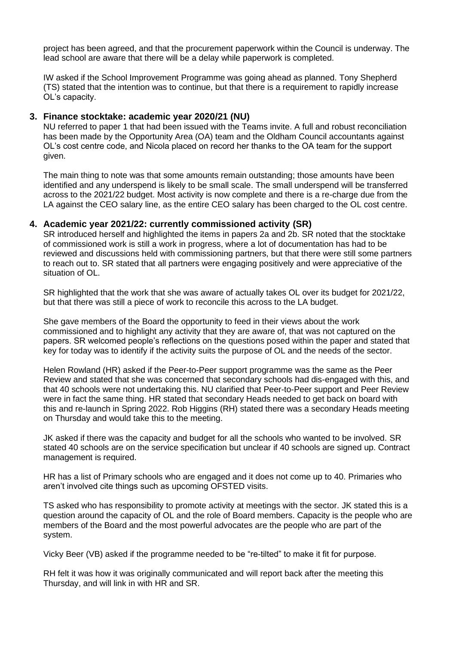project has been agreed, and that the procurement paperwork within the Council is underway. The lead school are aware that there will be a delay while paperwork is completed.

IW asked if the School Improvement Programme was going ahead as planned. Tony Shepherd (TS) stated that the intention was to continue, but that there is a requirement to rapidly increase OL's capacity.

## **3. Finance stocktake: academic year 2020/21 (NU)**

NU referred to paper 1 that had been issued with the Teams invite. A full and robust reconciliation has been made by the Opportunity Area (OA) team and the Oldham Council accountants against OL's cost centre code, and Nicola placed on record her thanks to the OA team for the support given.

The main thing to note was that some amounts remain outstanding; those amounts have been identified and any underspend is likely to be small scale. The small underspend will be transferred across to the 2021/22 budget. Most activity is now complete and there is a re-charge due from the LA against the CEO salary line, as the entire CEO salary has been charged to the OL cost centre.

#### **4. Academic year 2021/22: currently commissioned activity (SR)**

SR introduced herself and highlighted the items in papers 2a and 2b. SR noted that the stocktake of commissioned work is still a work in progress, where a lot of documentation has had to be reviewed and discussions held with commissioning partners, but that there were still some partners to reach out to. SR stated that all partners were engaging positively and were appreciative of the situation of OL.

SR highlighted that the work that she was aware of actually takes OL over its budget for 2021/22. but that there was still a piece of work to reconcile this across to the LA budget.

She gave members of the Board the opportunity to feed in their views about the work commissioned and to highlight any activity that they are aware of, that was not captured on the papers. SR welcomed people's reflections on the questions posed within the paper and stated that key for today was to identify if the activity suits the purpose of OL and the needs of the sector.

Helen Rowland (HR) asked if the Peer-to-Peer support programme was the same as the Peer Review and stated that she was concerned that secondary schools had dis-engaged with this, and that 40 schools were not undertaking this. NU clarified that Peer-to-Peer support and Peer Review were in fact the same thing. HR stated that secondary Heads needed to get back on board with this and re-launch in Spring 2022. Rob Higgins (RH) stated there was a secondary Heads meeting on Thursday and would take this to the meeting.

JK asked if there was the capacity and budget for all the schools who wanted to be involved. SR stated 40 schools are on the service specification but unclear if 40 schools are signed up. Contract management is required.

HR has a list of Primary schools who are engaged and it does not come up to 40. Primaries who aren't involved cite things such as upcoming OFSTED visits.

TS asked who has responsibility to promote activity at meetings with the sector. JK stated this is a question around the capacity of OL and the role of Board members. Capacity is the people who are members of the Board and the most powerful advocates are the people who are part of the system.

Vicky Beer (VB) asked if the programme needed to be "re-tilted" to make it fit for purpose.

RH felt it was how it was originally communicated and will report back after the meeting this Thursday, and will link in with HR and SR.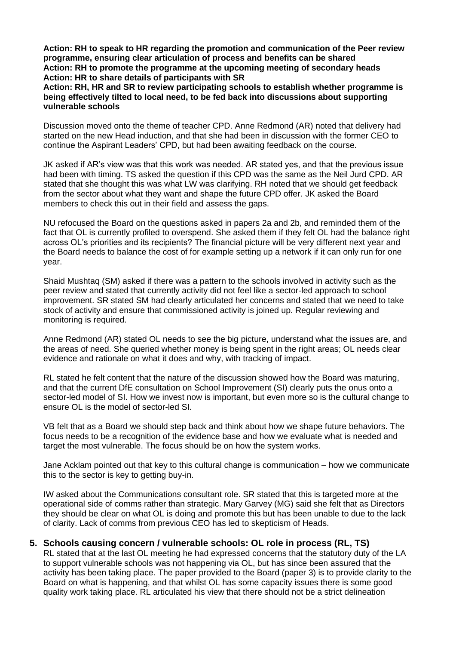**Action: RH to speak to HR regarding the promotion and communication of the Peer review programme, ensuring clear articulation of process and benefits can be shared Action: RH to promote the programme at the upcoming meeting of secondary heads Action: HR to share details of participants with SR**

**Action: RH, HR and SR to review participating schools to establish whether programme is being effectively tilted to local need, to be fed back into discussions about supporting vulnerable schools**

Discussion moved onto the theme of teacher CPD. Anne Redmond (AR) noted that delivery had started on the new Head induction, and that she had been in discussion with the former CEO to continue the Aspirant Leaders' CPD, but had been awaiting feedback on the course.

JK asked if AR's view was that this work was needed. AR stated yes, and that the previous issue had been with timing. TS asked the question if this CPD was the same as the Neil Jurd CPD. AR stated that she thought this was what LW was clarifying. RH noted that we should get feedback from the sector about what they want and shape the future CPD offer. JK asked the Board members to check this out in their field and assess the gaps.

NU refocused the Board on the questions asked in papers 2a and 2b, and reminded them of the fact that OL is currently profiled to overspend. She asked them if they felt OL had the balance right across OL's priorities and its recipients? The financial picture will be very different next year and the Board needs to balance the cost of for example setting up a network if it can only run for one year.

Shaid Mushtaq (SM) asked if there was a pattern to the schools involved in activity such as the peer review and stated that currently activity did not feel like a sector-led approach to school improvement. SR stated SM had clearly articulated her concerns and stated that we need to take stock of activity and ensure that commissioned activity is joined up. Regular reviewing and monitoring is required.

Anne Redmond (AR) stated OL needs to see the big picture, understand what the issues are, and the areas of need. She queried whether money is being spent in the right areas; OL needs clear evidence and rationale on what it does and why, with tracking of impact.

RL stated he felt content that the nature of the discussion showed how the Board was maturing, and that the current DfE consultation on School Improvement (SI) clearly puts the onus onto a sector-led model of SI. How we invest now is important, but even more so is the cultural change to ensure OL is the model of sector-led SI.

VB felt that as a Board we should step back and think about how we shape future behaviors. The focus needs to be a recognition of the evidence base and how we evaluate what is needed and target the most vulnerable. The focus should be on how the system works.

Jane Acklam pointed out that key to this cultural change is communication – how we communicate this to the sector is key to getting buy-in.

IW asked about the Communications consultant role. SR stated that this is targeted more at the operational side of comms rather than strategic. Mary Garvey (MG) said she felt that as Directors they should be clear on what OL is doing and promote this but has been unable to due to the lack of clarity. Lack of comms from previous CEO has led to skepticism of Heads.

## **5. Schools causing concern / vulnerable schools: OL role in process (RL, TS)**

RL stated that at the last OL meeting he had expressed concerns that the statutory duty of the LA to support vulnerable schools was not happening via OL, but has since been assured that the activity has been taking place. The paper provided to the Board (paper 3) is to provide clarity to the Board on what is happening, and that whilst OL has some capacity issues there is some good quality work taking place. RL articulated his view that there should not be a strict delineation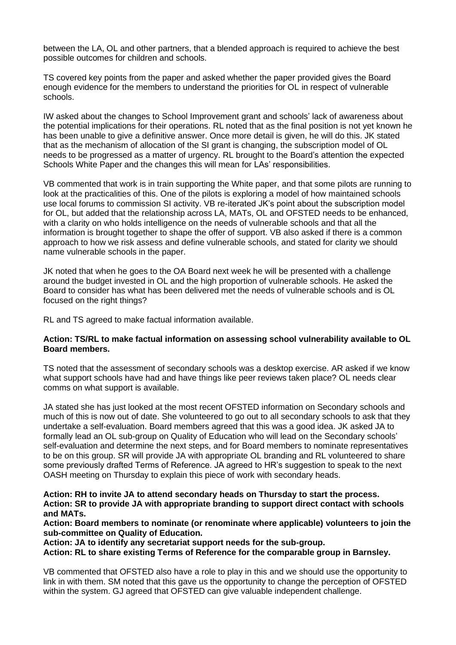between the LA, OL and other partners, that a blended approach is required to achieve the best possible outcomes for children and schools.

TS covered key points from the paper and asked whether the paper provided gives the Board enough evidence for the members to understand the priorities for OL in respect of vulnerable schools.

IW asked about the changes to School Improvement grant and schools' lack of awareness about the potential implications for their operations. RL noted that as the final position is not yet known he has been unable to give a definitive answer. Once more detail is given, he will do this. JK stated that as the mechanism of allocation of the SI grant is changing, the subscription model of OL needs to be progressed as a matter of urgency. RL brought to the Board's attention the expected Schools White Paper and the changes this will mean for LAs' responsibilities.

VB commented that work is in train supporting the White paper, and that some pilots are running to look at the practicalities of this. One of the pilots is exploring a model of how maintained schools use local forums to commission SI activity. VB re-iterated JK's point about the subscription model for OL, but added that the relationship across LA, MATs, OL and OFSTED needs to be enhanced, with a clarity on who holds intelligence on the needs of vulnerable schools and that all the information is brought together to shape the offer of support. VB also asked if there is a common approach to how we risk assess and define vulnerable schools, and stated for clarity we should name vulnerable schools in the paper.

JK noted that when he goes to the OA Board next week he will be presented with a challenge around the budget invested in OL and the high proportion of vulnerable schools. He asked the Board to consider has what has been delivered met the needs of vulnerable schools and is OL focused on the right things?

RL and TS agreed to make factual information available.

#### **Action: TS/RL to make factual information on assessing school vulnerability available to OL Board members.**

TS noted that the assessment of secondary schools was a desktop exercise. AR asked if we know what support schools have had and have things like peer reviews taken place? OL needs clear comms on what support is available.

JA stated she has just looked at the most recent OFSTED information on Secondary schools and much of this is now out of date. She volunteered to go out to all secondary schools to ask that they undertake a self-evaluation. Board members agreed that this was a good idea. JK asked JA to formally lead an OL sub-group on Quality of Education who will lead on the Secondary schools' self-evaluation and determine the next steps, and for Board members to nominate representatives to be on this group. SR will provide JA with appropriate OL branding and RL volunteered to share some previously drafted Terms of Reference. JA agreed to HR's suggestion to speak to the next OASH meeting on Thursday to explain this piece of work with secondary heads.

**Action: RH to invite JA to attend secondary heads on Thursday to start the process. Action: SR to provide JA with appropriate branding to support direct contact with schools and MATs.**

**Action: Board members to nominate (or renominate where applicable) volunteers to join the sub-committee on Quality of Education.**

**Action: JA to identify any secretariat support needs for the sub-group.**

**Action: RL to share existing Terms of Reference for the comparable group in Barnsley.**

VB commented that OFSTED also have a role to play in this and we should use the opportunity to link in with them. SM noted that this gave us the opportunity to change the perception of OFSTED within the system. GJ agreed that OFSTED can give valuable independent challenge.